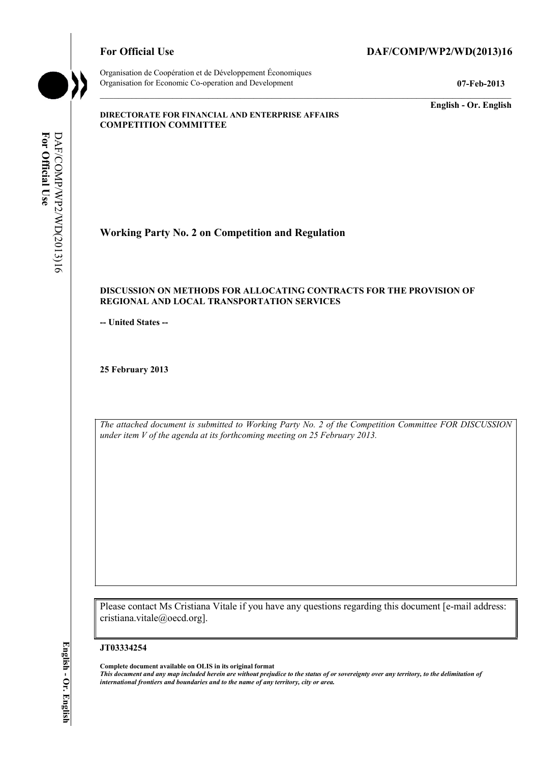# For Official Use DAF/COMP/WP2/WD(2013)16

**English - Or. English** 

#### **DIRECTORATE FOR FINANCIAL AND ENTERPRISE AFFAIRS COMPETITION COMMITTEE**

For Official Use DAF/COMP/WP2/WD(2013)16 DAF/COMP/WP2/WD(2013)16 **For Official Use** 

**Working Party No. 2 on Competition and Regulation** 

#### **DISCUSSION ON METHODS FOR ALLOCATING CONTRACTS FOR THE PROVISION OF REGIONAL AND LOCAL TRANSPORTATION SERVICES**

**-- United States --**

**25 February 2013** 

*The attached document is submitted to Working Party No. 2 of the Competition Committee FOR DISCUSSION under item V of the agenda at its forthcoming meeting on 25 February 2013.* 

Please contact Ms Cristiana Vitale if you have any questions regarding this document [e-mail address: cristiana.vitale@oecd.org].

#### **JT03334254**

 **Complete document available on OLIS in its original format** 

 *This document and any map included herein are without prejudice to the status of or sovereignty over any territory, to the delimitation of international frontiers and boundaries and to the name of any territory, city or area.*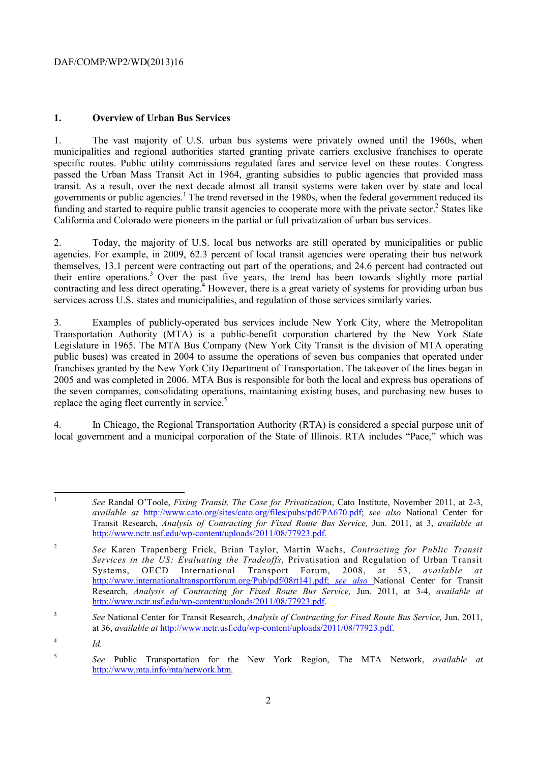# **1. Overview of Urban Bus Services**

1. The vast majority of U.S. urban bus systems were privately owned until the 1960s, when municipalities and regional authorities started granting private carriers exclusive franchises to operate specific routes. Public utility commissions regulated fares and service level on these routes. Congress passed the Urban Mass Transit Act in 1964, granting subsidies to public agencies that provided mass transit. As a result, over the next decade almost all transit systems were taken over by state and local governments or public agencies.<sup>1</sup> The trend reversed in the 1980s, when the federal government reduced its funding and started to require public transit agencies to cooperate more with the private sector.<sup>2</sup> States like California and Colorado were pioneers in the partial or full privatization of urban bus services.

2. Today, the majority of U.S. local bus networks are still operated by municipalities or public agencies. For example, in 2009, 62.3 percent of local transit agencies were operating their bus network themselves, 13.1 percent were contracting out part of the operations, and 24.6 percent had contracted out their entire operations.<sup>3</sup> Over the past five years, the trend has been towards slightly more partial contracting and less direct operating.<sup>4</sup> However, there is a great variety of systems for providing urban bus services across U.S. states and municipalities, and regulation of those services similarly varies.

 3. Examples of publicly-operated bus services include New York City, where the Metropolitan Transportation Authority (MTA) is a public-benefit corporation chartered by the New York State Legislature in 1965. The MTA Bus Company (New York City Transit is the division of MTA operating public buses) was created in 2004 to assume the operations of seven bus companies that operated under franchises granted by the New York City Department of Transportation. The takeover of the lines began in 2005 and was completed in 2006. MTA Bus is responsible for both the local and express bus operations of the seven companies, consolidating operations, maintaining existing buses, and purchasing new buses to replace the aging fleet currently in service.<sup>5</sup>

4. In Chicago, the Regional Transportation Authority (RTA) is considered a special purpose unit of local government and a municipal corporation of the State of Illinois. RTA includes "Pace," which was

 $\frac{4}{10}$ 

<sup>1</sup>*See* Randal O'Toole, *Fixing Transit, The Case for Privatization*, Cato Institute, November 2011, at 2-3, *available at* http://www.cato.org/sites/cato.org/files/pubs/pdf/PA670.pdf; *see also* National Center for Transit Research, *Analysis of Contracting for Fixed Route Bus Service,* Jun. 2011, at 3, *available at*  http://www.nctr.usf.edu/wp-content/uploads/2011/08/77923.pdf.

 $\sqrt{2}$  Systems, OECD International Transport Forum, 2008, at 53, *available at*  <sup>2</sup>*See* Karen Trapenberg Frick, Brian Taylor, Martin Wachs, *Contracting for Public Transit Services in the US: Evaluating the Tradeoffs*, Privatisation and Regulation of Urban Transit http://www.internationaltransportforum.org/Pub/pdf/08rt141.pdf; *see also* National Center for Transit Research, *Analysis of Contracting for Fixed Route Bus Service,* Jun. 2011, at 3-4, *available at*  http://www.nctr.usf.edu/wp-content/uploads/2011/08/77923.pdf.

<sup>3</sup>*See* National Center for Transit Research, *Analysis of Contracting for Fixed Route Bus Service,* Jun. 2011, at 36, *available at* http://www.nctr.usf.edu/wp-content/uploads/2011/08/77923.pdf.

<sup>5</sup>*See* Public Transportation for the New York Region, The MTA Network, *available at*  http://www.mta.info/mta/network.htm.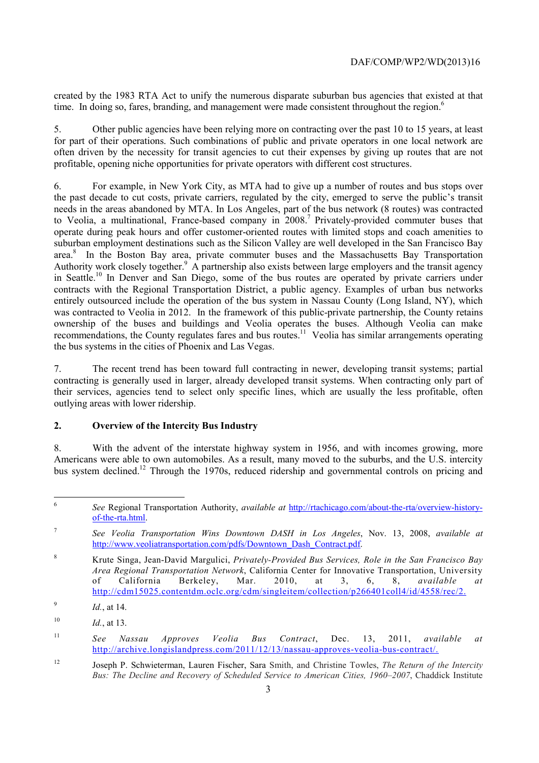created by the 1983 RTA Act to unify the numerous disparate suburban bus agencies that existed at that time. In doing so, fares, branding, and management were made consistent throughout the region.<sup>6</sup>

5. Other public agencies have been relying more on contracting over the past 10 to 15 years, at least for part of their operations. Such combinations of public and private operators in one local network are often driven by the necessity for transit agencies to cut their expenses by giving up routes that are not profitable, opening niche opportunities for private operators with different cost structures.

the bus systems in the cities of Phoenix and Las Vegas. 6. For example, in New York City, as MTA had to give up a number of routes and bus stops over the past decade to cut costs, private carriers, regulated by the city, emerged to serve the public's transit needs in the areas abandoned by MTA. In Los Angeles, part of the bus network (8 routes) was contracted to Veolia, a multinational, France-based company in 2008.<sup>7</sup> Privately-provided commuter buses that operate during peak hours and offer customer-oriented routes with limited stops and coach amenities to suburban employment destinations such as the Silicon Valley are well developed in the San Francisco Bay area.<sup>8</sup> In the Boston Bay area, private commuter buses and the Massachusetts Bay Transportation Authority work closely together.<sup>9</sup> A partnership also exists between large employers and the transit agency in Seattle.10 In Denver and San Diego, some of the bus routes are operated by private carriers under contracts with the Regional Transportation District, a public agency. Examples of urban bus networks entirely outsourced include the operation of the bus system in Nassau County (Long Island, NY), which was contracted to Veolia in 2012. In the framework of this public-private partnership, the County retains ownership of the buses and buildings and Veolia operates the buses. Although Veolia can make recommendations, the County regulates fares and bus routes.<sup>11</sup> Veolia has similar arrangements operating

7. The recent trend has been toward full contracting in newer, developing transit systems; partial contracting is generally used in larger, already developed transit systems. When contracting only part of their services, agencies tend to select only specific lines, which are usually the less profitable, often outlying areas with lower ridership.

### **2. Overview of the Intercity Bus Industry**

8. With the advent of the interstate highway system in 1956, and with incomes growing, more Americans were able to own automobiles. As a result, many moved to the suburbs, and the U.S. intercity bus system declined.<sup>12</sup> Through the 1970s, reduced ridership and governmental controls on pricing and

 <sup>6</sup>*See* Regional Transportation Authority, *available at* http://rtachicago.com/about-the-rta/overview-historyof-the-rta.html.

 $\tau$ <sup>7</sup>*See Veolia Transportation Wins Downtown DASH in Los Angeles*, Nov. 13, 2008, *available at*  http://www.veoliatransportation.com/pdfs/Downtown\_Dash\_Contract.pdf.

 *Area Regional Transportation Network*, California Center for Innovative Transportation, University 8 Krute Singa, Jean-David Margulici, *Privately-Provided Bus Services, Role in the San Francisco Bay*  of California Berkeley, Mar. 2010, at 3, 6, 8, *available at*  http://cdm15025.contentdm.oclc.org/cdm/singleitem/collection/p266401coll4/id/4558/rec/2.

<sup>9</sup>*Id.*, at 14.

<sup>10</sup>*Id.*, at 13.

<sup>11</sup>*See Nassau Approves Veolia Bus Contract*, Dec. 13, 2011, *available at*  http://archive.longislandpress.com/2011/12/13/nassau-approves-veolia-bus-contract/.

 $12$ 12 Joseph P. Schwieterman, Lauren Fischer, Sara Smith, and Christine Towles, *The Return of the Intercity Bus: The Decline and Recovery of Scheduled Service to American Cities, 1960–2007*, Chaddick Institute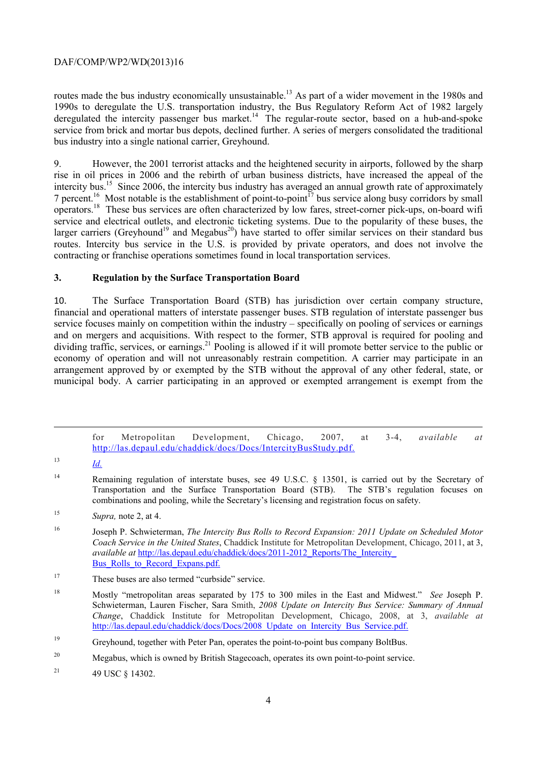routes made the bus industry economically unsustainable.<sup>13</sup> As part of a wider movement in the 1980s and 1990s to deregulate the U.S. transportation industry, the Bus Regulatory Reform Act of 1982 largely deregulated the intercity passenger bus market.<sup>14</sup> The regular-route sector, based on a hub-and-spoke service from brick and mortar bus depots, declined further. A series of mergers consolidated the traditional bus industry into a single national carrier, Greyhound.

 rise in oil prices in 2006 and the rebirth of urban business districts, have increased the appeal of the 9. However, the 2001 terrorist attacks and the heightened security in airports, followed by the sharp intercity bus.<sup>15</sup> Since 2006, the intercity bus industry has averaged an annual growth rate of approximately 7 percent.<sup>16</sup> Most notable is the establishment of point-to-point<sup>17</sup> bus service along busy corridors by small operators.18 These bus services are often characterized by low fares, street-corner pick-ups, on-board wifi service and electrical outlets, and electronic ticketing systems. Due to the popularity of these buses, the larger carriers (Greyhound<sup>19</sup> and Megabus<sup>20</sup>) have started to offer similar services on their standard bus routes. Intercity bus service in the U.S. is provided by private operators, and does not involve the contracting or franchise operations sometimes found in local transportation services.

## **3. Regulation by the Surface Transportation Board**

10. The Surface Transportation Board (STB) has jurisdiction over certain company structure, financial and operational matters of interstate passenger buses. STB regulation of interstate passenger bus service focuses mainly on competition within the industry – specifically on pooling of services or earnings and on mergers and acquisitions. With respect to the former, STB approval is required for pooling and dividing traffic, services, or earnings.<sup>21</sup> Pooling is allowed if it will promote better service to the public or economy of operation and will not unreasonably restrain competition. A carrier may participate in an arrangement approved by or exempted by the STB without the approval of any other federal, state, or municipal body. A carrier participating in an approved or exempted arrangement is exempt from the

for Metropolitan Development, Chicago, 2007, at 3-4, *available at*  http://las.depaul.edu/chaddick/docs/Docs/IntercityBusStudy.pdf.

-

 $13$  *Id.* 

<sup>&</sup>lt;sup>14</sup> Remaining regulation of interstate buses, see 49 U.S.C. § 13501, is carried out by the Secretary of Transportation and the Surface Transportation Board (STB). The STB's regulation focuses on combinations and pooling, while the Secretary's licensing and registration focus on safety.

<sup>15</sup>*Supra,* note 2, at 4.

<sup>16</sup> 16 Joseph P. Schwieterman, *The Intercity Bus Rolls to Record Expansion: 2011 Update on Scheduled Motor Coach Service in the United States*, Chaddick Institute for Metropolitan Development, Chicago, 2011, at 3, *available at* http://las.depaul.edu/chaddick/docs/2011-2012\_Reports/The\_Intercity\_ Bus Rolls to Record Expans.pdf.

<sup>&</sup>lt;sup>17</sup> These buses are also termed "curbside" service.

<sup>18</sup> 18 Mostly "metropolitan areas separated by 175 to 300 miles in the East and Midwest." *See* Joseph P. Schwieterman, Lauren Fischer, Sara Smith, *2008 Update on Intercity Bus Service: Summary of Annual Change*, Chaddick Institute for Metropolitan Development, Chicago, 2008, at 3, *available at*  http://las.depaul.edu/chaddick/docs/Docs/2008\_Update\_on\_Intercity\_Bus\_Service.pdf.

<sup>19</sup> Greyhound, together with Peter Pan, operates the point-to-point bus company BoltBus.

<sup>20</sup> Megabus, which is owned by British Stagecoach, operates its own point-to-point service.

<sup>&</sup>lt;sup>21</sup> 49 USC  $§$  14302.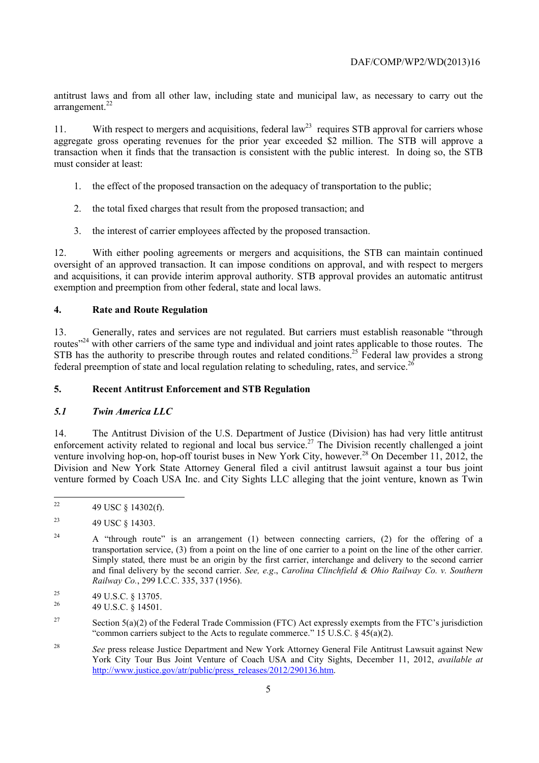antitrust laws and from all other law, including state and municipal law, as necessary to carry out the arrangement.<sup>22</sup>

11. With respect to mergers and acquisitions, federal law<sup>23</sup> requires STB approval for carriers whose aggregate gross operating revenues for the prior year exceeded \$2 million. The STB will approve a transaction when it finds that the transaction is consistent with the public interest. In doing so, the STB must consider at least:

- 1. the effect of the proposed transaction on the adequacy of transportation to the public;
- 2. the total fixed charges that result from the proposed transaction; and
- 3. the interest of carrier employees affected by the proposed transaction.

12. With either pooling agreements or mergers and acquisitions, the STB can maintain continued oversight of an approved transaction. It can impose conditions on approval, and with respect to mergers and acquisitions, it can provide interim approval authority. STB approval provides an automatic antitrust exemption and preemption from other federal, state and local laws.

### **4. Rate and Route Regulation**

federal preemption of state and local regulation relating to scheduling, rates, and service.<sup>26</sup> 13. Generally, rates and services are not regulated. But carriers must establish reasonable "through routes<sup>"24</sup> with other carriers of the same type and individual and joint rates applicable to those routes. The STB has the authority to prescribe through routes and related conditions.<sup>25</sup> Federal law provides a strong

### **5. Recent Antitrust Enforcement and STB Regulation**

### *5.1 Twin America LLC*

 venture formed by Coach USA Inc. and City Sights LLC alleging that the joint venture, known as Twin 14. The Antitrust Division of the U.S. Department of Justice (Division) has had very little antitrust enforcement activity related to regional and local bus service.<sup>27</sup> The Division recently challenged a joint venture involving hop-on, hop-off tourist buses in New York City, however.<sup>28</sup> On December 11, 2012, the Division and New York State Attorney General filed a civil antitrust lawsuit against a tour bus joint

 22 49 USC § 14302(f).

 $\overline{23}$ 23 49 USC § 14303.

<sup>24</sup>  and final delivery by the second carrier. *See, e.g*., *Carolina Clinchfield & Ohio Railway Co. v. Southern*  24 A "through route" is an arrangement (1) between connecting carriers, (2) for the offering of a transportation service, (3) from a point on the line of one carrier to a point on the line of the other carrier. Simply stated, there must be an origin by the first carrier, interchange and delivery to the second carrier *Railway Co.*, 299 I.C.C. 335, 337 (1956).

<sup>&</sup>lt;sup>25</sup> 49 U.S.C. § 13705.<br><sup>26</sup> 49 U.S.C. § 14501.

<sup>&</sup>lt;sup>27</sup> Section 5(a)(2) of the Federal Trade Commission (FTC) Act expressly exempts from the FTC's jurisdiction "common carriers subject to the Acts to regulate commerce." 15 U.S.C.  $\S$  45(a)(2).

<sup>28</sup>*See* press release Justice Department and New York Attorney General File Antitrust Lawsuit against New York City Tour Bus Joint Venture of Coach USA and City Sights, December 11, 2012, *available at*  http://www.justice.gov/atr/public/press\_releases/2012/290136.htm.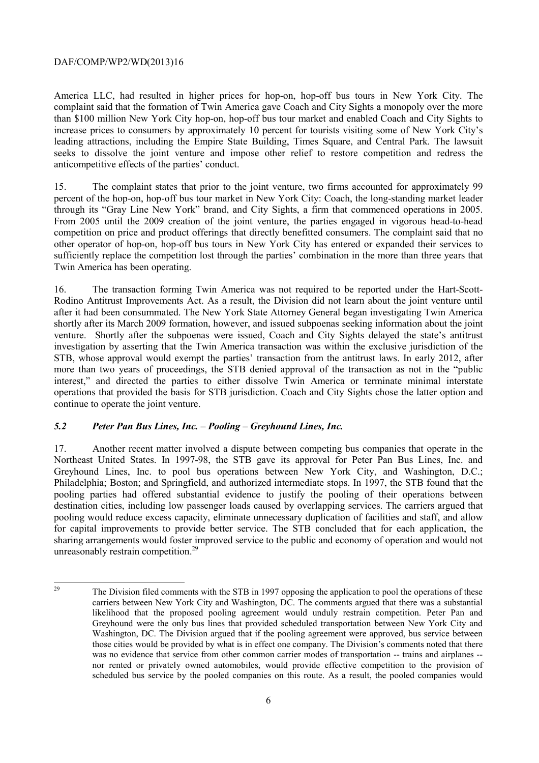America LLC, had resulted in higher prices for hop-on, hop-off bus tours in New York City. The complaint said that the formation of Twin America gave Coach and City Sights a monopoly over the more than \$100 million New York City hop-on, hop-off bus tour market and enabled Coach and City Sights to increase prices to consumers by approximately 10 percent for tourists visiting some of New York City's leading attractions, including the Empire State Building, Times Square, and Central Park. The lawsuit seeks to dissolve the joint venture and impose other relief to restore competition and redress the anticompetitive effects of the parties' conduct.

through its "Gray Line New York" brand, and City Sights, a firm that commenced operations in 2005. From 2005 until the 2009 creation of the joint venture, the parties engaged in vigorous head-to-head 15. The complaint states that prior to the joint venture, two firms accounted for approximately 99 percent of the hop-on, hop-off bus tour market in New York City: Coach, the long-standing market leader competition on price and product offerings that directly benefitted consumers. The complaint said that no other operator of hop-on, hop-off bus tours in New York City has entered or expanded their services to sufficiently replace the competition lost through the parties' combination in the more than three years that Twin America has been operating.

16. The transaction forming Twin America was not required to be reported under the Hart-Scott-Rodino Antitrust Improvements Act. As a result, the Division did not learn about the joint venture until after it had been consummated. The New York State Attorney General began investigating Twin America shortly after its March 2009 formation, however, and issued subpoenas seeking information about the joint venture. Shortly after the subpoenas were issued, Coach and City Sights delayed the state's antitrust investigation by asserting that the Twin America transaction was within the exclusive jurisdiction of the STB, whose approval would exempt the parties' transaction from the antitrust laws. In early 2012, after more than two years of proceedings, the STB denied approval of the transaction as not in the "public interest," and directed the parties to either dissolve Twin America or terminate minimal interstate operations that provided the basis for STB jurisdiction. Coach and City Sights chose the latter option and continue to operate the joint venture.

# *5.2 Peter Pan Bus Lines, Inc. – Pooling – Greyhound Lines, Inc.*

17. Another recent matter involved a dispute between competing bus companies that operate in the Northeast United States. In 1997-98, the STB gave its approval for Peter Pan Bus Lines, Inc. and Greyhound Lines, Inc. to pool bus operations between New York City, and Washington, D.C.; Philadelphia; Boston; and Springfield, and authorized intermediate stops. In 1997, the STB found that the pooling parties had offered substantial evidence to justify the pooling of their operations between destination cities, including low passenger loads caused by overlapping services. The carriers argued that pooling would reduce excess capacity, eliminate unnecessary duplication of facilities and staff, and allow for capital improvements to provide better service. The STB concluded that for each application, the sharing arrangements would foster improved service to the public and economy of operation and would not unreasonably restrain competition.<sup>29</sup>

 29 carriers between New York City and Washington, DC. The comments argued that there was a substantial scheduled bus service by the pooled companies on this route. As a result, the pooled companies would The Division filed comments with the STB in 1997 opposing the application to pool the operations of these likelihood that the proposed pooling agreement would unduly restrain competition. Peter Pan and Greyhound were the only bus lines that provided scheduled transportation between New York City and Washington, DC. The Division argued that if the pooling agreement were approved, bus service between those cities would be provided by what is in effect one company. The Division's comments noted that there was no evidence that service from other common carrier modes of transportation -- trains and airplanes -nor rented or privately owned automobiles, would provide effective competition to the provision of